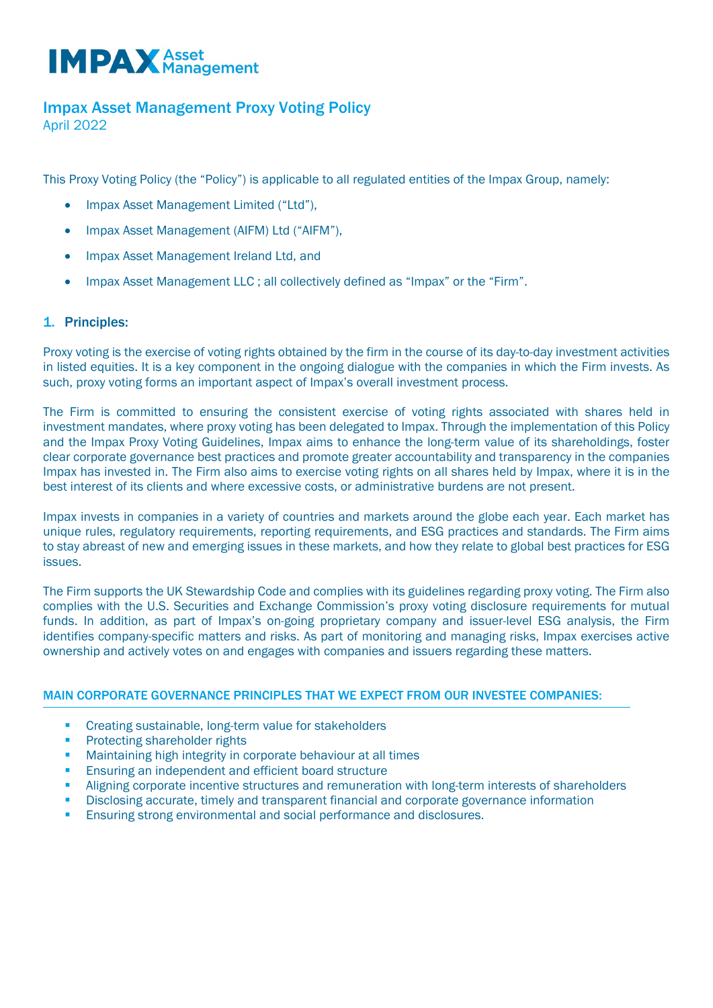# **IMPAX** Asset

# Impax Asset Management Proxy Voting Policy

April 2022

This Proxy Voting Policy (the "Policy") is applicable to all regulated entities of the Impax Group, namely:

- Impax Asset Management Limited ("Ltd"),
- Impax Asset Management (AIFM) Ltd ("AIFM"),
- Impax Asset Management Ireland Ltd, and
- Impax Asset Management LLC ; all collectively defined as "Impax" or the "Firm".

# 1. Principles:

Proxy voting is the exercise of voting rights obtained by the firm in the course of its day-to-day investment activities in listed equities. It is a key component in the ongoing dialogue with the companies in which the Firm invests. As such, proxy voting forms an important aspect of Impax's overall investment process.

The Firm is committed to ensuring the consistent exercise of voting rights associated with shares held in investment mandates, where proxy voting has been delegated to Impax. Through the implementation of this Policy and the Impax Proxy Voting Guidelines, Impax aims to enhance the long-term value of its shareholdings, foster clear corporate governance best practices and promote greater accountability and transparency in the companies Impax has invested in. The Firm also aims to exercise voting rights on all shares held by Impax, where it is in the best interest of its clients and where excessive costs, or administrative burdens are not present.

Impax invests in companies in a variety of countries and markets around the globe each year. Each market has unique rules, regulatory requirements, reporting requirements, and ESG practices and standards. The Firm aims to stay abreast of new and emerging issues in these markets, and how they relate to global best practices for ESG issues.

The Firm supports the UK Stewardship Code and complies with its guidelines regarding proxy voting. The Firm also complies with the U.S. Securities and Exchange Commission's proxy voting disclosure requirements for mutual funds. In addition, as part of Impax's on-going proprietary company and issuer-level ESG analysis, the Firm identifies company-specific matters and risks. As part of monitoring and managing risks, Impax exercises active ownership and actively votes on and engages with companies and issuers regarding these matters.

## MAIN CORPORATE GOVERNANCE PRINCIPLES THAT WE EXPECT FROM OUR INVESTEE COMPANIES:

- Creating sustainable, long-term value for stakeholders
- Protecting shareholder rights
- Maintaining high integrity in corporate behaviour at all times
- Ensuring an independent and efficient board structure
- Aligning corporate incentive structures and remuneration with long-term interests of shareholders
- Disclosing accurate, timely and transparent financial and corporate governance information
- Ensuring strong environmental and social performance and disclosures.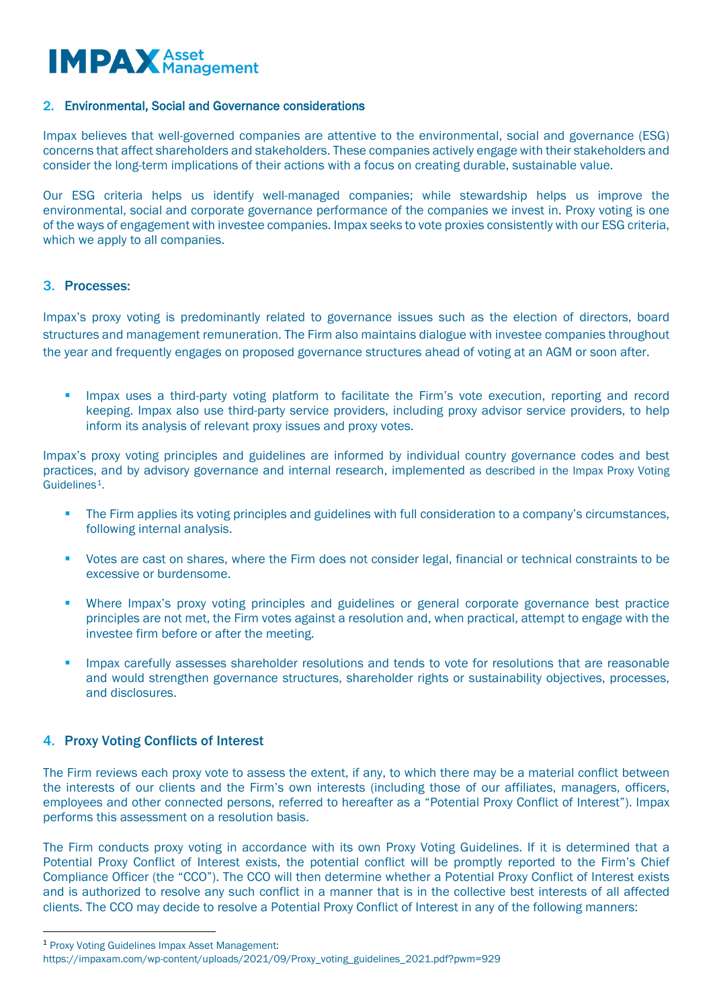

#### 2. Environmental, Social and Governance considerations

Impax believes that well-governed companies are attentive to the environmental, social and governance (ESG) concerns that affect shareholders and stakeholders. These companies actively engage with their stakeholders and consider the long-term implications of their actions with a focus on creating durable, sustainable value.

Our ESG criteria helps us identify well-managed companies; while stewardship helps us improve the environmental, social and corporate governance performance of the companies we invest in. Proxy voting is one of the ways of engagement with investee companies. Impax seeks to vote proxies consistently with our ESG criteria, which we apply to all companies.

### 3. Processes:

Impax's proxy voting is predominantly related to governance issues such as the election of directors, board structures and management remuneration. The Firm also maintains dialogue with investee companies throughout the year and frequently engages on proposed governance structures ahead of voting at an AGM or soon after.

 Impax uses a third-party voting platform to facilitate the Firm's vote execution, reporting and record keeping. Impax also use third-party service providers, including proxy advisor service providers, to help inform its analysis of relevant proxy issues and proxy votes.

Impax's proxy voting principles and guidelines are informed by individual country governance codes and best practices, and by advisory governance and internal research, implemented as described in the Impax Proxy Voting Guidelines[1.](#page-1-0)

- The Firm applies its voting principles and guidelines with full consideration to a company's circumstances, following internal analysis.
- Votes are cast on shares, where the Firm does not consider legal, financial or technical constraints to be excessive or burdensome.
- Where Impax's proxy voting principles and guidelines or general corporate governance best practice principles are not met, the Firm votes against a resolution and, when practical, attempt to engage with the investee firm before or after the meeting.
- Impax carefully assesses shareholder resolutions and tends to vote for resolutions that are reasonable and would strengthen governance structures, shareholder rights or sustainability objectives, processes, and disclosures.

## 4. Proxy Voting Conflicts of Interest

The Firm reviews each proxy vote to assess the extent, if any, to which there may be a material conflict between the interests of our clients and the Firm's own interests (including those of our affiliates, managers, officers, employees and other connected persons, referred to hereafter as a "Potential Proxy Conflict of Interest"). Impax performs this assessment on a resolution basis.

The Firm conducts proxy voting in accordance with its own Proxy Voting Guidelines. If it is determined that a Potential Proxy Conflict of Interest exists, the potential conflict will be promptly reported to the Firm's Chief Compliance Officer (the "CCO"). The CCO will then determine whether a Potential Proxy Conflict of Interest exists and is authorized to resolve any such conflict in a manner that is in the collective best interests of all affected clients. The CCO may decide to resolve a Potential Proxy Conflict of Interest in any of the following manners:

<span id="page-1-0"></span><sup>1</sup> Proxy Voting Guidelines Impax Asset Management:

https://impaxam.com/wp-content/uploads/2021/09/Proxy\_voting\_guidelines\_2021.pdf?pwm=929